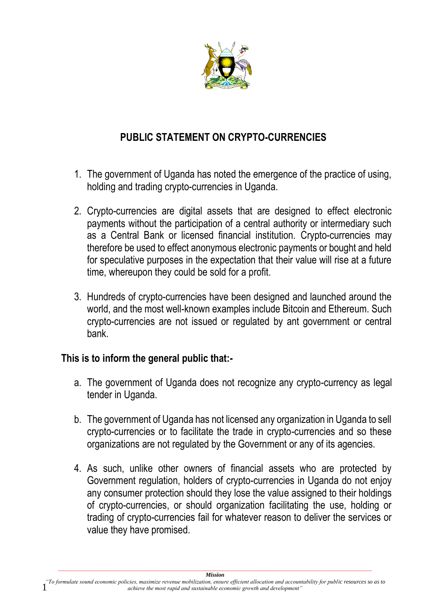

## **PUBLIC STATEMENT ON CRYPTO-CURRENCIES**

- 1. The government of Uganda has noted the emergence of the practice of using, holding and trading crypto-currencies in Uganda.
- 2. Crypto-currencies are digital assets that are designed to effect electronic payments without the participation of a central authority or intermediary such as a Central Bank or licensed financial institution. Crypto-currencies may therefore be used to effect anonymous electronic payments or bought and held for speculative purposes in the expectation that their value will rise at a future time, whereupon they could be sold for a profit.
- 3. Hundreds of crypto-currencies have been designed and launched around the world, and the most well-known examples include Bitcoin and Ethereum. Such crypto-currencies are not issued or regulated by ant government or central bank.

## **This is to inform the general public that:-**

- a. The government of Uganda does not recognize any crypto-currency as legal tender in Uganda.
- b. The government of Uganda has not licensed any organization in Uganda to sell crypto-currencies or to facilitate the trade in crypto-currencies and so these organizations are not regulated by the Government or any of its agencies.
- 4. As such, unlike other owners of financial assets who are protected by Government regulation, holders of crypto-currencies in Uganda do not enjoy any consumer protection should they lose the value assigned to their holdings of crypto-currencies, or should organization facilitating the use, holding or trading of crypto-currencies fail for whatever reason to deliver the services or value they have promised.

1 *Mission "To formulate sound economic policies, maximize revenue mobilization, ensure efficient allocation and accountability for public resources so as to achieve the most rapid and sustainable economic growth and development"*

*\_\_\_\_\_\_\_\_\_\_\_\_\_\_\_\_\_\_\_\_\_\_\_\_\_\_\_\_\_\_\_\_\_\_\_\_\_\_\_\_\_\_\_\_\_\_\_\_\_\_\_\_\_\_\_\_\_\_\_\_\_\_\_\_\_\_\_\_\_\_\_\_\_\_\_\_\_\_\_\_\_\_\_\_\_\_\_\_\_\_\_\_\_\_\_\_\_\_\_\_\_\_\_\_\_\_\_\_\_*